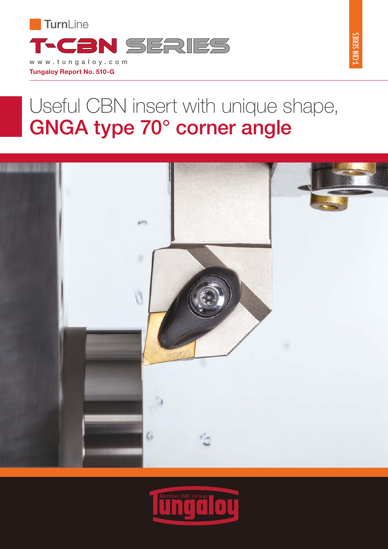

# Useful CBN insert with unique shape, GNGA type 70° corner angle





**T-CBN SERIES** T-CBN SERIES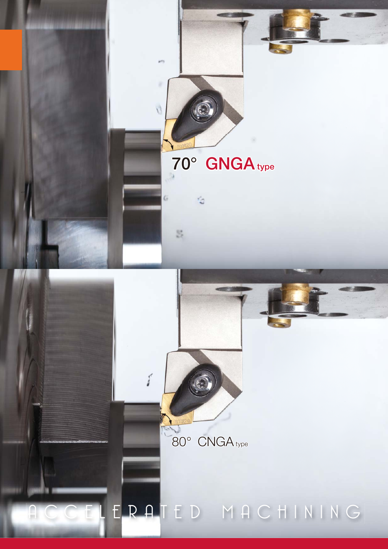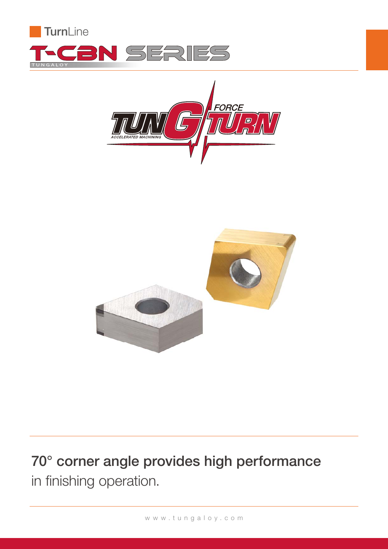





## 70° corner angle provides high performance in finishing operation.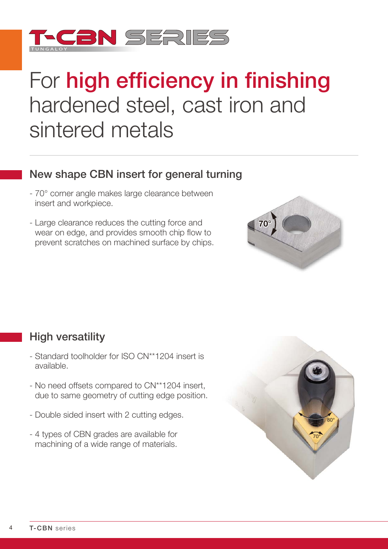

# For high efficiency in finishing hardened steel, cast iron and sintered metals

### New shape CBN insert for general turning

- 70° corner angle makes large clearance between insert and workpiece.
- Large clearance reduces the cutting force and wear on edge, and provides smooth chip flow to prevent scratches on machined surface by chips.



### High versatility

- Standard toolholder for ISO CN\*\*1204 insert is available.
- No need offsets compared to CN\*\*1204 insert, due to same geometry of cutting edge position.
- Double sided insert with 2 cutting edges.
- 4 types of CBN grades are available for machining of a wide range of materials.

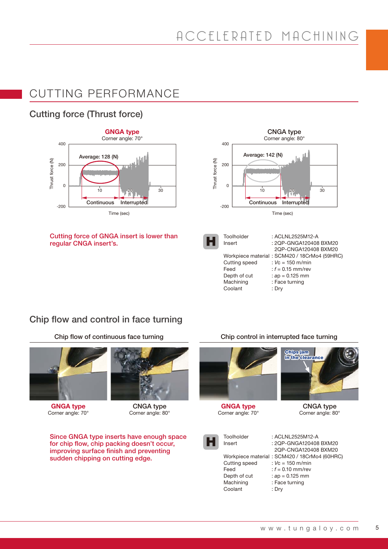### CUTTING PERFORMANCE

### Cutting force (Thrust force)



#### Cutting force of GNGA insert is lower than regular CNGA insert's.



### Chip flow and control in face turning

Chip flow of continuous face turning Chip control in interrupted face turning





Corner angle: 70° Corner angle: 80° Corner angle: 70° Corner angle: 80° Corner angle: 80°

Since GNGA type inserts have enough space for chip flow, chip packing doesn't occur, improving surface finish and preventing<br>sudden chipping on cutting edge.





Cutting speed Feed Depth of cut Machining Coolant

Workpiece material : SCM420 / 18CrMo4 (60HRC) : ACLNL2525M12-A : 2QP-GNGA120408 BXM20 2QP-CNGA120408 BXM20 : *V*c = 150 m/min : *f* = 0.10 mm/rev : *a*p = 0.125 mm : Face turning : Dry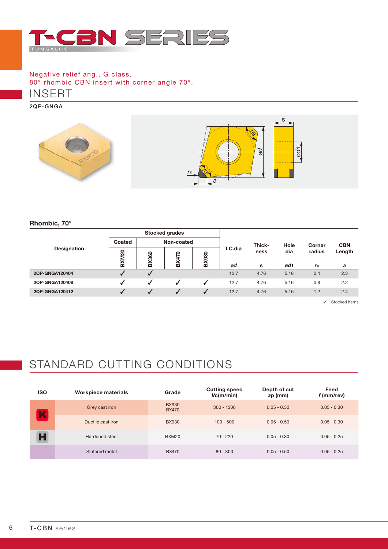

INSERT Negative relief ang., G class, 80° rhombic CBN insert with corner angle 70°.

2QP-GNGA



Rhombic, 70°

| <b>Designation</b> | <b>Stocked grades</b> |              |     |              |         |        |      |                |            |
|--------------------|-----------------------|--------------|-----|--------------|---------|--------|------|----------------|------------|
|                    | Coated                | Non-coated   |     |              |         | Thick- | Hole | Corner         | <b>CBN</b> |
|                    | BXM20                 | <b>BX360</b> | 470 | <b>BX930</b> | I.C.dia | ness   | dia  | radius         | Length     |
|                    |                       |              | ⋒   |              | ød      | s      | ød1  | $r_{\epsilon}$ | a          |
| 2QP-GNGA120404     | √                     |              |     |              | 12.7    | 4.76   | 5.16 | 0.4            | 2.3        |
| 2QP-GNGA120408     |                       |              |     |              | 12.7    | 4.76   | 5.16 | 0.8            | 2.2        |
| 2QP-GNGA120412     | ┙                     |              |     |              | 12.7    | 4.76   | 5.16 | 1.2            | 2.4        |

✓ : Stocked items

## STANDARD CUTTING CONDITIONS

| <b>ISO</b> | Workpiece materials | Grade                        | <b>Cutting speed</b><br>Vc(m/min) | Depth of cut<br>ap (mm) | Feed<br>f (mm/rev) |
|------------|---------------------|------------------------------|-----------------------------------|-------------------------|--------------------|
| K          | Grey cast iron      | <b>BX930</b><br><b>BX470</b> | $300 - 1200$                      | $0.05 - 0.50$           | $0.05 - 0.30$      |
|            | Ductile cast iron   | <b>BX930</b>                 | $100 - 500$                       | $0.05 - 0.50$           | $0.05 - 0.30$      |
| H          | Hardened steel      | BXM20                        | $70 - 220$                        | $0.05 - 0.30$           | $0.05 - 0.25$      |
|            | Sintered metal      | <b>BX470</b>                 | $80 - 300$                        | $0.05 - 0.50$           | $0.05 - 0.25$      |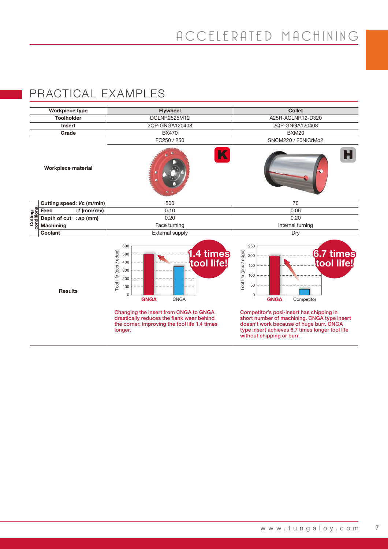### PRACTICAL EXAMPLES

| <b>Workpiece type</b>     |                           | <b>Flywheel</b>                                                                                                                                | <b>Collet</b>                                                                                                                                                                                                      |  |  |  |
|---------------------------|---------------------------|------------------------------------------------------------------------------------------------------------------------------------------------|--------------------------------------------------------------------------------------------------------------------------------------------------------------------------------------------------------------------|--|--|--|
|                           | <b>Toolholder</b>         | <b>DCLNR2525M12</b>                                                                                                                            | A25R-ACLNR12-D320                                                                                                                                                                                                  |  |  |  |
|                           | <b>Insert</b>             | 2QP-GNGA120408                                                                                                                                 | 2QP-GNGA120408                                                                                                                                                                                                     |  |  |  |
|                           | Grade                     | <b>BX470</b>                                                                                                                                   | <b>BXM20</b>                                                                                                                                                                                                       |  |  |  |
|                           |                           | FC250 / 250                                                                                                                                    | SNCM220 / 20NiCrMo2                                                                                                                                                                                                |  |  |  |
| <b>Workpiece material</b> |                           | K                                                                                                                                              |                                                                                                                                                                                                                    |  |  |  |
| Cutting<br>conditions     | Cutting speed: Vc (m/min) | 500                                                                                                                                            | 70                                                                                                                                                                                                                 |  |  |  |
|                           | : $f$ (mm/rev)<br>Feed    | 0.10                                                                                                                                           | 0.06                                                                                                                                                                                                               |  |  |  |
|                           | Depth of cut : ap (mm)    | 0.20                                                                                                                                           | 0.20                                                                                                                                                                                                               |  |  |  |
|                           | <b>Machining</b>          | Face turning                                                                                                                                   | Internal turning                                                                                                                                                                                                   |  |  |  |
|                           | Coolant                   | External supply                                                                                                                                | Dry                                                                                                                                                                                                                |  |  |  |
| <b>Results</b>            |                           | 600<br>Tool life (pcs / edge)<br>.4 times<br>500<br>tool life!<br>400<br>300<br>200<br>100<br>$\mathbf 0$<br><b>GNGA</b><br><b>CNGA</b>        | 250<br>Tool life (pcs / edge)<br><b>6.7 times</b><br>200<br>tool life!<br>150<br>100<br>50<br>0<br><b>GNGA</b><br>Competitor                                                                                       |  |  |  |
|                           |                           | Changing the insert from CNGA to GNGA<br>drastically reduces the flank wear behind<br>the corner, improving the tool life 1.4 times<br>longer. | Competitor's posi-insert has chipping in<br>short number of machining. CNGA type insert<br>doesn't work because of huge burr. GNGA<br>type insert achieves 6.7 times longer tool life<br>without chipping or burr. |  |  |  |